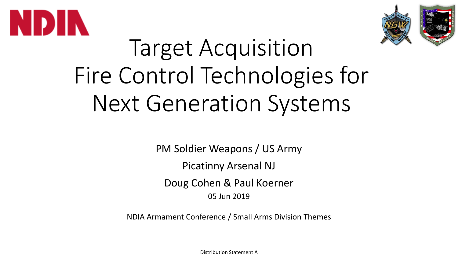



# Target Acquisition Fire Control Technologies for Next Generation Systems

PM Soldier Weapons / US Army

Picatinny Arsenal NJ

Doug Cohen & Paul Koerner

05 Jun 2019

NDIA Armament Conference / Small Arms Division Themes

Distribution Statement A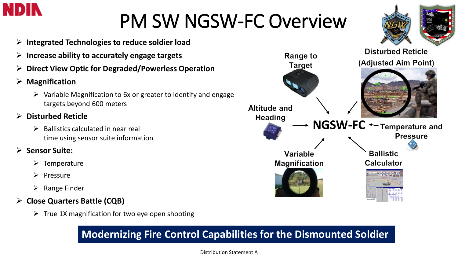

## PM SW NGSW-FC Overview

- **Integrated Technologies to reduce soldier load**
- **Increase ability to accurately engage targets**
- **Direct View Optic for Degraded/Powerless Operation**
- **Magnification**
	- $\triangleright$  Variable Magnification to 6x or greater to identify and engage targets beyond 600 meters
- **Disturbed Reticle**
	- Ballistics calculated in near real time using sensor suite information
- **Sensor Suite:** 
	- $\triangleright$  Temperature
	- $\triangleright$  Pressure
	- $\triangleright$  Range Finder
- **Close Quarters Battle (CQB)**
	- $\triangleright$  True 1X magnification for two eye open shooting

#### **Modernizing Fire Control Capabilities for the Dismounted Soldier**



#### Distribution Statement A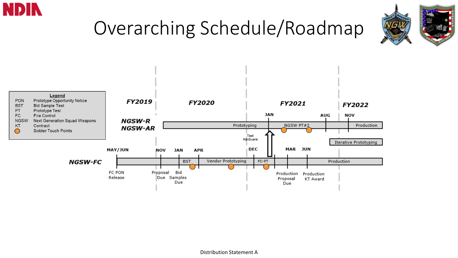

## Overarching Schedule/Roadmap